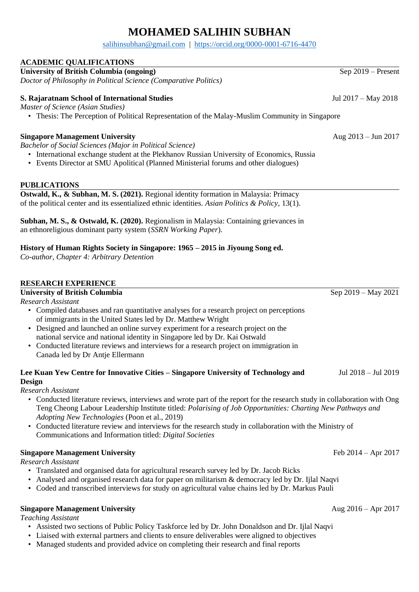# **MOHAMED SALIHIN SUBHAN**

[salihinsubhan@gmail.com](mailto:salihinsubhan@gmail.com) | <https://orcid.org/0000-0001-6716-4470>

## **ACADEMIC QUALIFICATIONS**

**University of British Columbia (ongoing)** *Doctor of Philosophy in Political Science (Comparative Politics)*

### **S. Rajaratnam School of International Studies** Jul 2017 – May 2018

*Master of Science (Asian Studies)*

• Thesis: The Perception of Political Representation of the Malay-Muslim Community in Singapore

### **Singapore Management University** Aug 2013 – Jun 2017

*Bachelor of Social Sciences (Major in Political Science)*

- International exchange student at the Plekhanov Russian University of Economics, Russia
- Events Director at SMU Apolitical (Planned Ministerial forums and other dialogues)

### **PUBLICATIONS**

**Ostwald, K., & Subhan, M. S. (2021).** Regional identity formation in Malaysia: Primacy of the political center and its essentialized ethnic identities. *Asian Politics & Policy*, 13(1).

**Subhan, M. S., & Ostwald, K. (2020).** Regionalism in Malaysia: Containing grievances in an ethnoreligious dominant party system (*SSRN Working Paper*).

### **History of Human Rights Society in Singapore: 1965 – 2015 in Jiyoung Song ed.**

*Co-author, Chapter 4: Arbitrary Detention*

### **RESEARCH EXPERIENCE**

### **University of British Columbia** Sep 2019 – May 2021

*Research Assistant*

- Compiled databases and ran quantitative analyses for a research project on perceptions of immigrants in the United States led by Dr. Matthew Wright
- Designed and launched an online survey experiment for a research project on the national service and national identity in Singapore led by Dr. Kai Ostwald
- Conducted literature reviews and interviews for a research project on immigration in Canada led by Dr Antje Ellermann

#### **Lee Kuan Yew Centre for Innovative Cities – Singapore University of Technology and**  Jul 2018 – Jul 2019

### **Design**

*Research Assistant*

- Conducted literature reviews, interviews and wrote part of the report for the research study in collaboration with Ong Teng Cheong Labour Leadership Institute titled: *Polarising of Job Opportunities: Charting New Pathways and Adopting New Technologies* (Poon et al., 2019)
- Conducted literature review and interviews for the research study in collaboration with the Ministry of Communications and Information titled: *Digital Societies*

### **Singapore Management University** Feb 2014 – Apr 2017

*Research Assistant*

- Translated and organised data for agricultural research survey led by Dr. Jacob Ricks
- Analysed and organised research data for paper on militarism & democracy led by Dr. Ijlal Naqvi
- Coded and transcribed interviews for study on agricultural value chains led by Dr. Markus Pauli

# **Singapore Management University** Aug 2016 – Apr 2017

*Teaching Assistant*

- Assisted two sections of Public Policy Taskforce led by Dr. John Donaldson and Dr. Ijlal Naqvi
- Liaised with external partners and clients to ensure deliverables were aligned to objectives
- Managed students and provided advice on completing their research and final reports